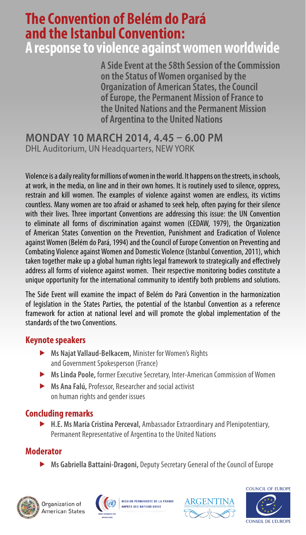## **The Convention of Belém do Pará and the Istanbul Convention:**

### **A response to violence against women worldwide**

**A Side Event at the 58th Session of the Commission on the Status of Women organised by the Organization of American States, the Council of Europe, the Permanent Mission of France to the United Nations and the Permanent Mission of Argentina to the United Nations**

**MONDAY 10 MARCH 2014, 4.45 – 6.00 PM** DHL Auditorium, UN Headquarters, NEW YORK

Violence is a daily reality for millions of women in the world. It happens on the streets, in schools, at work, in the media, on line and in their own homes. It is routinely used to silence, oppress, restrain and kill women. The examples of violence against women are endless, its victims countless. Many women are too afraid or ashamed to seek help, often paying for their silence with their lives. Three important Conventions are addressing this issue: the UN Convention to eliminate all forms of discrimination against women (CEDAW, 1979), the Organization of American States Convention on the Prevention, Punishment and Eradication of Violence against Women (Belém do Pará, 1994) and the Council of Europe Convention on Preventing and Combating Violence against Women and Domestic Violence (Istanbul Convention, 2011), which taken together make up a global human rights legal framework to strategically and effectively address all forms of violence against women. Their respective monitoring bodies constitute a unique opportunity for the international community to identify both problems and solutions.

The Side Event will examine the impact of Belém do Pará Convention in the harmonization of legislation in the States Parties, the potential of the Istanbul Convention as a reference framework for action at national level and will promote the global implementation of the standards of the two Conventions.

#### **Keynote speakers**

- **Ms Najat Vallaud-Belkacem,** Minister for Women's Rights and Government Spokesperson (France)
- **Ms Linda Poole,** former Executive Secretary, Inter-American Commission of Women
- **Ms Ana Falú,** Professor, Researcher and social activist on human rights and gender issues

#### **Concluding remarks**

 **H.E. Ms María Cristina Perceval,** Ambassador Extraordinary and Plenipotentiary, Permanent Representative of Argentina to the United Nations

#### **Moderator**

**Ms Gabriella Battaini-Dragoni,** Deputy Secretary General of the Council of Europe